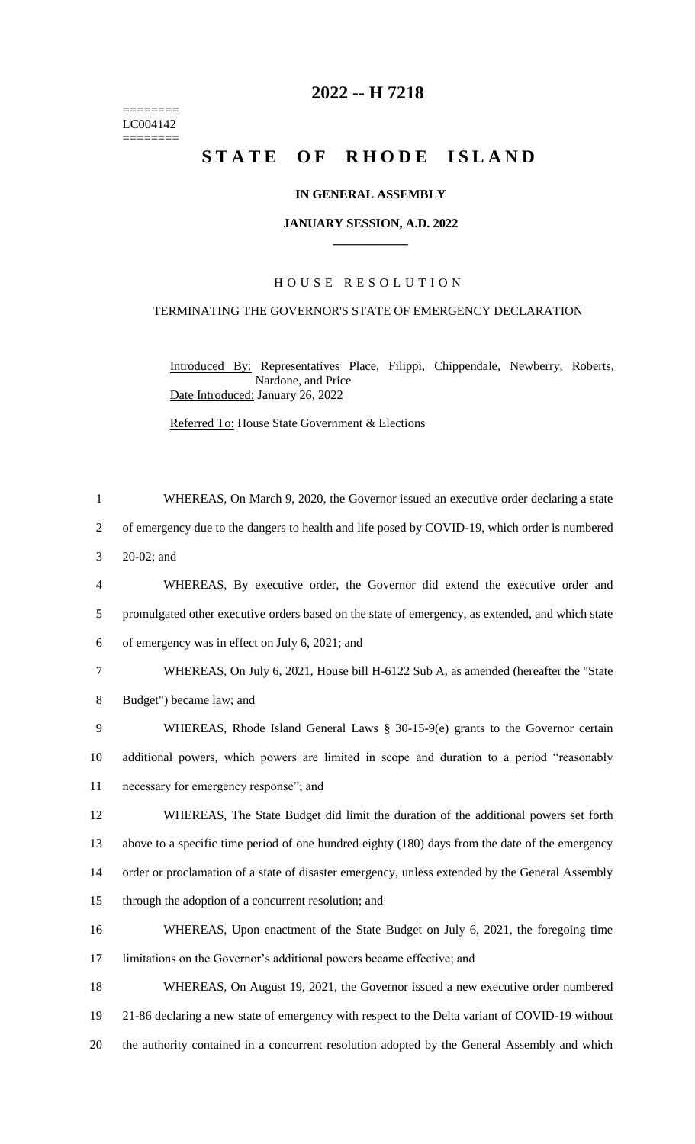======== LC004142 ========

## **-- H 7218**

# **STATE OF RHODE ISLAND**

### **IN GENERAL ASSEMBLY**

#### **JANUARY SESSION, A.D. 2022 \_\_\_\_\_\_\_\_\_\_\_\_**

## H O U S E R E S O L U T I O N

## TERMINATING THE GOVERNOR'S STATE OF EMERGENCY DECLARATION

Introduced By: Representatives Place, Filippi, Chippendale, Newberry, Roberts, Nardone, and Price Date Introduced: January 26, 2022

Referred To: House State Government & Elections

 WHEREAS, On March 9, 2020, the Governor issued an executive order declaring a state of emergency due to the dangers to health and life posed by COVID-19, which order is numbered 20-02; and WHEREAS, By executive order, the Governor did extend the executive order and promulgated other executive orders based on the state of emergency, as extended, and which state of emergency was in effect on July 6, 2021; and WHEREAS, On July 6, 2021, House bill H-6122 Sub A, as amended (hereafter the "State Budget") became law; and WHEREAS, Rhode Island General Laws § 30-15-9(e) grants to the Governor certain additional powers, which powers are limited in scope and duration to a period "reasonably necessary for emergency response"; and WHEREAS, The State Budget did limit the duration of the additional powers set forth above to a specific time period of one hundred eighty (180) days from the date of the emergency order or proclamation of a state of disaster emergency, unless extended by the General Assembly through the adoption of a concurrent resolution; and WHEREAS, Upon enactment of the State Budget on July 6, 2021, the foregoing time limitations on the Governor's additional powers became effective; and WHEREAS, On August 19, 2021, the Governor issued a new executive order numbered 21-86 declaring a new state of emergency with respect to the Delta variant of COVID-19 without the authority contained in a concurrent resolution adopted by the General Assembly and which